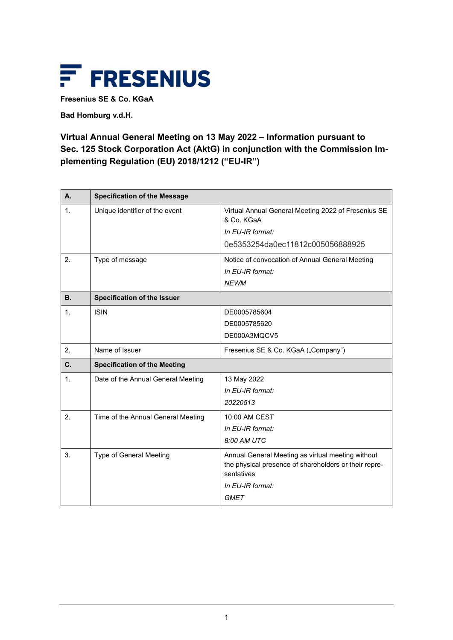

**Fresenius SE & Co. KGaA**

**Bad Homburg v.d.H.**

## **Virtual Annual General Meeting on 13 May 2022 – Information pursuant to Sec. 125 Stock Corporation Act (AktG) in conjunction with the Commission Implementing Regulation (EU) 2018/1212 ("EU-IR")**

| A.             | <b>Specification of the Message</b> |                                                                                                                          |
|----------------|-------------------------------------|--------------------------------------------------------------------------------------------------------------------------|
| 1.             | Unique identifier of the event      | Virtual Annual General Meeting 2022 of Fresenius SE<br>& Co. KGaA                                                        |
|                |                                     | In EU-IR format:                                                                                                         |
|                |                                     | 0e5353254da0ec11812c005056888925                                                                                         |
| 2.             | Type of message                     | Notice of convocation of Annual General Meeting                                                                          |
|                |                                     | In EU-IR format:                                                                                                         |
|                |                                     | <b>NEWM</b>                                                                                                              |
| <b>B.</b>      | <b>Specification of the Issuer</b>  |                                                                                                                          |
| $\mathbf 1$ .  | <b>ISIN</b>                         | DE0005785604                                                                                                             |
|                |                                     | DE0005785620                                                                                                             |
|                |                                     | DE000A3MQCV5                                                                                                             |
| 2.             | Name of Issuer                      | Fresenius SE & Co. KGaA ("Company")                                                                                      |
| $\mathbf{C}$ . | <b>Specification of the Meeting</b> |                                                                                                                          |
| 1.             | Date of the Annual General Meeting  | 13 May 2022                                                                                                              |
|                |                                     | In EU-IR format:                                                                                                         |
|                |                                     | 20220513                                                                                                                 |
| 2.             | Time of the Annual General Meeting  | 10:00 AM CEST                                                                                                            |
|                |                                     | In EU-IR format:                                                                                                         |
|                |                                     | 8:00 AM UTC                                                                                                              |
| 3.             | <b>Type of General Meeting</b>      | Annual General Meeting as virtual meeting without<br>the physical presence of shareholders or their repre-<br>sentatives |
|                |                                     | In EU-IR format:                                                                                                         |
|                |                                     | <b>GMET</b>                                                                                                              |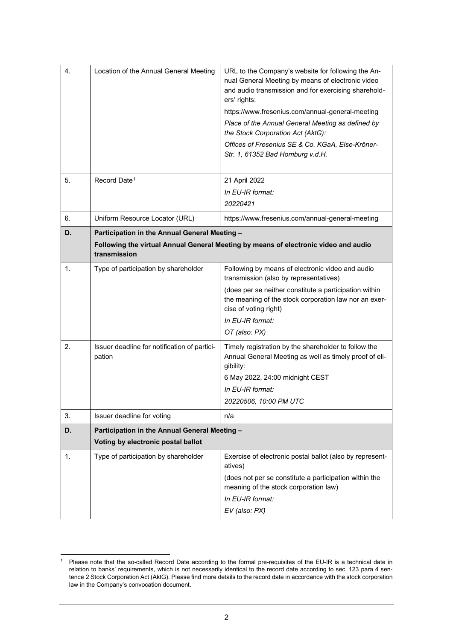| 4. | Location of the Annual General Meeting                                                                                                               | URL to the Company's website for following the An-<br>nual General Meeting by means of electronic video<br>and audio transmission and for exercising sharehold-<br>ers' rights:<br>https://www.fresenius.com/annual-general-meeting<br>Place of the Annual General Meeting as defined by<br>the Stock Corporation Act (AktG):<br>Offices of Fresenius SE & Co. KGaA, Else-Kröner-<br>Str. 1, 61352 Bad Homburg v.d.H. |
|----|------------------------------------------------------------------------------------------------------------------------------------------------------|-----------------------------------------------------------------------------------------------------------------------------------------------------------------------------------------------------------------------------------------------------------------------------------------------------------------------------------------------------------------------------------------------------------------------|
| 5. | Record Date <sup>1</sup>                                                                                                                             | 21 April 2022                                                                                                                                                                                                                                                                                                                                                                                                         |
|    |                                                                                                                                                      | In EU-IR format:                                                                                                                                                                                                                                                                                                                                                                                                      |
|    |                                                                                                                                                      | 20220421                                                                                                                                                                                                                                                                                                                                                                                                              |
| 6. | Uniform Resource Locator (URL)                                                                                                                       | https://www.fresenius.com/annual-general-meeting                                                                                                                                                                                                                                                                                                                                                                      |
| D. | Participation in the Annual General Meeting -<br>Following the virtual Annual General Meeting by means of electronic video and audio<br>transmission |                                                                                                                                                                                                                                                                                                                                                                                                                       |
| 1. | Type of participation by shareholder                                                                                                                 | Following by means of electronic video and audio<br>transmission (also by representatives)<br>(does per se neither constitute a participation within<br>the meaning of the stock corporation law nor an exer-<br>cise of voting right)<br>In EU-IR format:<br>OT (also: PX)                                                                                                                                           |
| 2. | Issuer deadline for notification of partici-<br>pation                                                                                               | Timely registration by the shareholder to follow the<br>Annual General Meeting as well as timely proof of eli-<br>gibility:<br>6 May 2022, 24:00 midnight CEST<br>In EU-IR format:<br>20220506, 10:00 PM UTC                                                                                                                                                                                                          |
| 3. | Issuer deadline for voting                                                                                                                           | n/a                                                                                                                                                                                                                                                                                                                                                                                                                   |
| D. | Participation in the Annual General Meeting -<br>Voting by electronic postal ballot                                                                  |                                                                                                                                                                                                                                                                                                                                                                                                                       |
| 1. | Type of participation by shareholder                                                                                                                 | Exercise of electronic postal ballot (also by represent-<br>atives)<br>(does not per se constitute a participation within the<br>meaning of the stock corporation law)<br>In EU-IR format:<br>EV (also: PX)                                                                                                                                                                                                           |

<span id="page-1-0"></span><sup>&</sup>lt;sup>1</sup> Please note that the so-called Record Date according to the formal pre-requisites of the EU-IR is a technical date in relation to banks' requirements, which is not necessarily identical to the record date according to sec. 123 para 4 sentence 2 Stock Corporation Act (AktG). Please find more details to the record date in accordance with the stock corporation law in the Company's convocation document.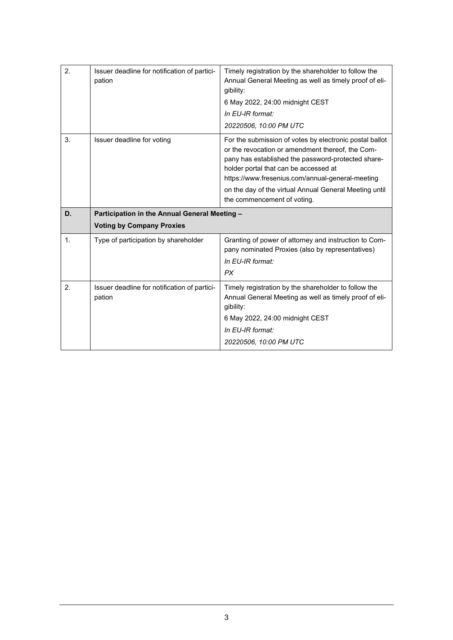| 2.             | Issuer deadline for notification of partici-<br>pation | Timely registration by the shareholder to follow the<br>Annual General Meeting as well as timely proof of eli-<br>gibility:<br>6 May 2022, 24:00 midnight CEST<br>In EU-IR format:<br>20220506, 10:00 PM UTC                                                                                                                                            |
|----------------|--------------------------------------------------------|---------------------------------------------------------------------------------------------------------------------------------------------------------------------------------------------------------------------------------------------------------------------------------------------------------------------------------------------------------|
| 3.             | Issuer deadline for voting                             | For the submission of votes by electronic postal ballot<br>or the revocation or amendment thereof, the Com-<br>pany has established the password-protected share-<br>holder portal that can be accessed at<br>https://www.fresenius.com/annual-general-meeting<br>on the day of the virtual Annual General Meeting until<br>the commencement of voting. |
|                |                                                        |                                                                                                                                                                                                                                                                                                                                                         |
| D.             | Participation in the Annual General Meeting -          |                                                                                                                                                                                                                                                                                                                                                         |
|                | <b>Voting by Company Proxies</b>                       |                                                                                                                                                                                                                                                                                                                                                         |
| $\mathbf{1}$ . | Type of participation by shareholder                   | Granting of power of attorney and instruction to Com-<br>pany nominated Proxies (also by representatives)<br>In EU-IR format:<br><b>PX</b>                                                                                                                                                                                                              |
| 2.             | Issuer deadline for notification of partici-<br>pation | Timely registration by the shareholder to follow the<br>Annual General Meeting as well as timely proof of eli-<br>gibility:<br>6 May 2022, 24:00 midnight CEST<br>In EU-IR format:<br>20220506, 10:00 PM UTC                                                                                                                                            |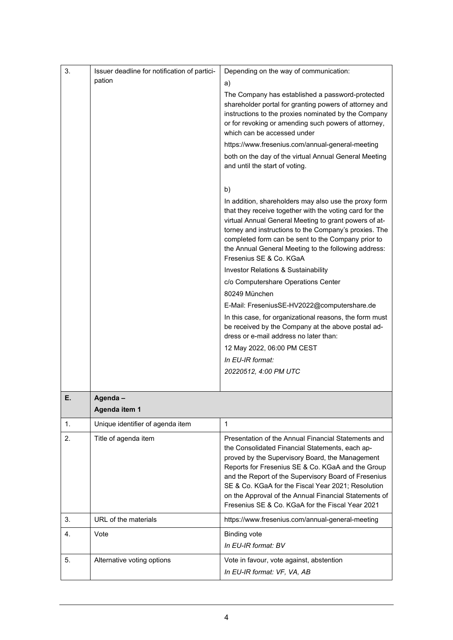| 3. | Issuer deadline for notification of partici-<br>pation | Depending on the way of communication:<br>a)                                                                                                                                                                                                                                                                                                                                                                                              |
|----|--------------------------------------------------------|-------------------------------------------------------------------------------------------------------------------------------------------------------------------------------------------------------------------------------------------------------------------------------------------------------------------------------------------------------------------------------------------------------------------------------------------|
|    |                                                        | The Company has established a password-protected<br>shareholder portal for granting powers of attorney and<br>instructions to the proxies nominated by the Company<br>or for revoking or amending such powers of attorney,<br>which can be accessed under                                                                                                                                                                                 |
|    |                                                        | https://www.fresenius.com/annual-general-meeting                                                                                                                                                                                                                                                                                                                                                                                          |
|    |                                                        | both on the day of the virtual Annual General Meeting<br>and until the start of voting.                                                                                                                                                                                                                                                                                                                                                   |
|    |                                                        | b)                                                                                                                                                                                                                                                                                                                                                                                                                                        |
|    |                                                        | In addition, shareholders may also use the proxy form<br>that they receive together with the voting card for the<br>virtual Annual General Meeting to grant powers of at-<br>torney and instructions to the Company's proxies. The<br>completed form can be sent to the Company prior to<br>the Annual General Meeting to the following address:<br>Fresenius SE & Co. KGaA                                                               |
|    |                                                        | Investor Relations & Sustainability                                                                                                                                                                                                                                                                                                                                                                                                       |
|    |                                                        | c/o Computershare Operations Center                                                                                                                                                                                                                                                                                                                                                                                                       |
|    |                                                        | 80249 München                                                                                                                                                                                                                                                                                                                                                                                                                             |
|    |                                                        | E-Mail: FreseniusSE-HV2022@computershare.de                                                                                                                                                                                                                                                                                                                                                                                               |
|    |                                                        | In this case, for organizational reasons, the form must<br>be received by the Company at the above postal ad-<br>dress or e-mail address no later than:                                                                                                                                                                                                                                                                                   |
|    |                                                        | 12 May 2022, 06:00 PM CEST                                                                                                                                                                                                                                                                                                                                                                                                                |
|    |                                                        | In EU-IR format:                                                                                                                                                                                                                                                                                                                                                                                                                          |
|    |                                                        | 20220512, 4:00 PM UTC                                                                                                                                                                                                                                                                                                                                                                                                                     |
|    |                                                        |                                                                                                                                                                                                                                                                                                                                                                                                                                           |
| Е. | Agenda-<br>Agenda item 1                               |                                                                                                                                                                                                                                                                                                                                                                                                                                           |
| 1. | Unique identifier of agenda item                       | $\mathbf{1}$                                                                                                                                                                                                                                                                                                                                                                                                                              |
| 2. | Title of agenda item                                   | Presentation of the Annual Financial Statements and<br>the Consolidated Financial Statements, each ap-<br>proved by the Supervisory Board, the Management<br>Reports for Fresenius SE & Co. KGaA and the Group<br>and the Report of the Supervisory Board of Fresenius<br>SE & Co. KGaA for the Fiscal Year 2021; Resolution<br>on the Approval of the Annual Financial Statements of<br>Fresenius SE & Co. KGaA for the Fiscal Year 2021 |
| 3. | URL of the materials                                   | https://www.fresenius.com/annual-general-meeting                                                                                                                                                                                                                                                                                                                                                                                          |
| 4. | Vote                                                   | <b>Binding vote</b><br>In EU-IR format: BV                                                                                                                                                                                                                                                                                                                                                                                                |
| 5. | Alternative voting options                             | Vote in favour, vote against, abstention<br>In EU-IR format: VF, VA, AB                                                                                                                                                                                                                                                                                                                                                                   |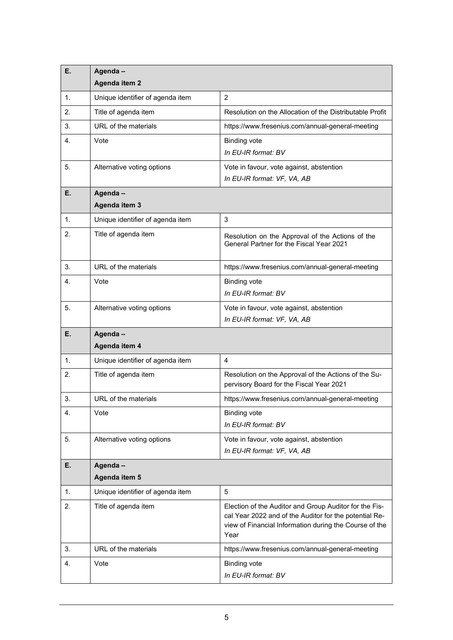| Е. | Agenda-<br>Agenda item 2         |                                                                                                                                                                                    |
|----|----------------------------------|------------------------------------------------------------------------------------------------------------------------------------------------------------------------------------|
| 1. | Unique identifier of agenda item | $\overline{2}$                                                                                                                                                                     |
| 2. | Title of agenda item             | Resolution on the Allocation of the Distributable Profit                                                                                                                           |
| 3. | URL of the materials             | https://www.fresenius.com/annual-general-meeting                                                                                                                                   |
| 4. | Vote                             | <b>Binding vote</b><br>In EU-IR format: BV                                                                                                                                         |
| 5. | Alternative voting options       | Vote in favour, vote against, abstention<br>In EU-IR format: VF, VA, AB                                                                                                            |
| Е. | Agenda-<br>Agenda item 3         |                                                                                                                                                                                    |
| 1. | Unique identifier of agenda item | 3                                                                                                                                                                                  |
| 2. | Title of agenda item             | Resolution on the Approval of the Actions of the<br>General Partner for the Fiscal Year 2021                                                                                       |
| 3. | URL of the materials             | https://www.fresenius.com/annual-general-meeting                                                                                                                                   |
| 4. | Vote                             | <b>Binding vote</b>                                                                                                                                                                |
|    |                                  | In EU-IR format: BV                                                                                                                                                                |
| 5. | Alternative voting options       | Vote in favour, vote against, abstention<br>In EU-IR format: VF, VA, AB                                                                                                            |
| Е. | Agenda-<br>Agenda item 4         |                                                                                                                                                                                    |
| 1. | Unique identifier of agenda item | 4                                                                                                                                                                                  |
| 2. | Title of agenda item             | Resolution on the Approval of the Actions of the Su-<br>pervisory Board for the Fiscal Year 2021                                                                                   |
| 3. | URL of the materials             | https://www.fresenius.com/annual-general-meeting                                                                                                                                   |
| 4. | Vote                             | <b>Binding vote</b><br>In EU-IR format: BV                                                                                                                                         |
| 5. | Alternative voting options       | Vote in favour, vote against, abstention<br>In EU-IR format: VF, VA, AB                                                                                                            |
| Ε. | Agenda-                          |                                                                                                                                                                                    |
|    | Agenda item 5                    |                                                                                                                                                                                    |
| 1. | Unique identifier of agenda item | 5                                                                                                                                                                                  |
| 2. | Title of agenda item             | Election of the Auditor and Group Auditor for the Fis-<br>cal Year 2022 and of the Auditor for the potential Re-<br>view of Financial Information during the Course of the<br>Year |
| 3. | URL of the materials             | https://www.fresenius.com/annual-general-meeting                                                                                                                                   |
| 4. | Vote                             | <b>Binding vote</b><br>In EU-IR format: BV                                                                                                                                         |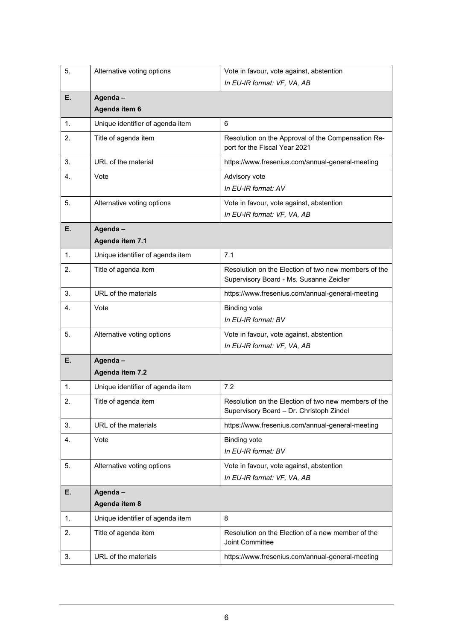| 5. | Alternative voting options       | Vote in favour, vote against, abstention<br>In EU-IR format: VF, VA, AB                          |
|----|----------------------------------|--------------------------------------------------------------------------------------------------|
| Е. | Agenda-<br>Agenda item 6         |                                                                                                  |
| 1. | Unique identifier of agenda item | 6                                                                                                |
| 2. | Title of agenda item             | Resolution on the Approval of the Compensation Re-<br>port for the Fiscal Year 2021              |
| 3. | URL of the material              | https://www.fresenius.com/annual-general-meeting                                                 |
| 4. | Vote                             | Advisory vote<br>In EU-IR format: AV                                                             |
| 5. | Alternative voting options       | Vote in favour, vote against, abstention<br>In EU-IR format: VF, VA, AB                          |
| Е. | Agenda-<br>Agenda item 7.1       |                                                                                                  |
| 1. | Unique identifier of agenda item | 7.1                                                                                              |
| 2. | Title of agenda item             | Resolution on the Election of two new members of the<br>Supervisory Board - Ms. Susanne Zeidler  |
| 3. | URL of the materials             | https://www.fresenius.com/annual-general-meeting                                                 |
| 4. | Vote                             | <b>Binding vote</b><br>In EU-IR format: BV                                                       |
| 5. | Alternative voting options       | Vote in favour, vote against, abstention<br>In EU-IR format: VF, VA, AB                          |
| Е. | Agenda-<br>Agenda item 7.2       |                                                                                                  |
| 1. | Unique identifier of agenda item | 7.2                                                                                              |
| 2. | Title of agenda item             | Resolution on the Election of two new members of the<br>Supervisory Board - Dr. Christoph Zindel |
| 3. | URL of the materials             | https://www.fresenius.com/annual-general-meeting                                                 |
| 4. | Vote                             | <b>Binding vote</b><br>In EU-IR format: BV                                                       |
| 5. | Alternative voting options       | Vote in favour, vote against, abstention<br>In EU-IR format: VF, VA, AB                          |
| Е. | Agenda-                          |                                                                                                  |
|    | Agenda item 8                    |                                                                                                  |
| 1. | Unique identifier of agenda item | 8                                                                                                |
| 2. | Title of agenda item             | Resolution on the Election of a new member of the<br>Joint Committee                             |
| 3. | URL of the materials             | https://www.fresenius.com/annual-general-meeting                                                 |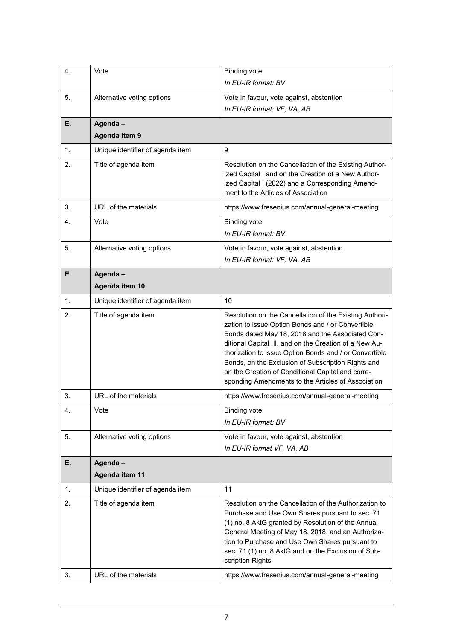| 4. | Vote                             | <b>Binding vote</b>                                                                                                                                                                                                                                                                                                                                                                                                                                   |
|----|----------------------------------|-------------------------------------------------------------------------------------------------------------------------------------------------------------------------------------------------------------------------------------------------------------------------------------------------------------------------------------------------------------------------------------------------------------------------------------------------------|
|    |                                  | In EU-IR format: BV                                                                                                                                                                                                                                                                                                                                                                                                                                   |
| 5. | Alternative voting options       | Vote in favour, vote against, abstention                                                                                                                                                                                                                                                                                                                                                                                                              |
|    |                                  | In EU-IR format: VF, VA, AB                                                                                                                                                                                                                                                                                                                                                                                                                           |
| Е. | Agenda-                          |                                                                                                                                                                                                                                                                                                                                                                                                                                                       |
|    | Agenda item 9                    |                                                                                                                                                                                                                                                                                                                                                                                                                                                       |
| 1. | Unique identifier of agenda item | 9                                                                                                                                                                                                                                                                                                                                                                                                                                                     |
| 2. | Title of agenda item             | Resolution on the Cancellation of the Existing Author-<br>ized Capital I and on the Creation of a New Author-<br>ized Capital I (2022) and a Corresponding Amend-<br>ment to the Articles of Association                                                                                                                                                                                                                                              |
| 3. | URL of the materials             | https://www.fresenius.com/annual-general-meeting                                                                                                                                                                                                                                                                                                                                                                                                      |
| 4. | Vote                             | <b>Binding vote</b>                                                                                                                                                                                                                                                                                                                                                                                                                                   |
|    |                                  | In EU-IR format: BV                                                                                                                                                                                                                                                                                                                                                                                                                                   |
| 5. | Alternative voting options       | Vote in favour, vote against, abstention                                                                                                                                                                                                                                                                                                                                                                                                              |
|    |                                  | In EU-IR format: VF, VA, AB                                                                                                                                                                                                                                                                                                                                                                                                                           |
| Е. | Agenda-                          |                                                                                                                                                                                                                                                                                                                                                                                                                                                       |
|    | Agenda item 10                   |                                                                                                                                                                                                                                                                                                                                                                                                                                                       |
| 1. | Unique identifier of agenda item | 10                                                                                                                                                                                                                                                                                                                                                                                                                                                    |
| 2. | Title of agenda item             | Resolution on the Cancellation of the Existing Authori-<br>zation to issue Option Bonds and / or Convertible<br>Bonds dated May 18, 2018 and the Associated Con-<br>ditional Capital III, and on the Creation of a New Au-<br>thorization to issue Option Bonds and / or Convertible<br>Bonds, on the Exclusion of Subscription Rights and<br>on the Creation of Conditional Capital and corre-<br>sponding Amendments to the Articles of Association |
| 3. | URL of the materials             | https://www.fresenius.com/annual-general-meeting                                                                                                                                                                                                                                                                                                                                                                                                      |
| 4. | Vote                             | <b>Binding vote</b>                                                                                                                                                                                                                                                                                                                                                                                                                                   |
|    |                                  | In EU-IR format: BV                                                                                                                                                                                                                                                                                                                                                                                                                                   |
| 5. | Alternative voting options       | Vote in favour, vote against, abstention                                                                                                                                                                                                                                                                                                                                                                                                              |
|    |                                  | In EU-IR format VF, VA, AB                                                                                                                                                                                                                                                                                                                                                                                                                            |
| Е. | Agenda-                          |                                                                                                                                                                                                                                                                                                                                                                                                                                                       |
|    | Agenda item 11                   |                                                                                                                                                                                                                                                                                                                                                                                                                                                       |
| 1. | Unique identifier of agenda item | 11                                                                                                                                                                                                                                                                                                                                                                                                                                                    |
| 2. | Title of agenda item             | Resolution on the Cancellation of the Authorization to<br>Purchase and Use Own Shares pursuant to sec. 71<br>(1) no. 8 AktG granted by Resolution of the Annual<br>General Meeting of May 18, 2018, and an Authoriza-<br>tion to Purchase and Use Own Shares pursuant to<br>sec. 71 (1) no. 8 AktG and on the Exclusion of Sub-<br>scription Rights                                                                                                   |
| 3. | URL of the materials             | https://www.fresenius.com/annual-general-meeting                                                                                                                                                                                                                                                                                                                                                                                                      |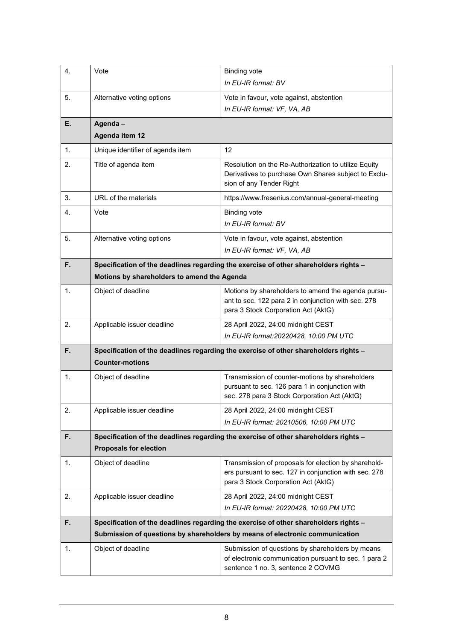| 4. | Vote                                                                                                                  | <b>Binding vote</b>                                                                                                                                                  |
|----|-----------------------------------------------------------------------------------------------------------------------|----------------------------------------------------------------------------------------------------------------------------------------------------------------------|
|    |                                                                                                                       | In EU-IR format: BV                                                                                                                                                  |
| 5. | Alternative voting options                                                                                            | Vote in favour, vote against, abstention<br>In EU-IR format: VF, VA, AB                                                                                              |
| Е. | Agenda-                                                                                                               |                                                                                                                                                                      |
|    | Agenda item 12                                                                                                        |                                                                                                                                                                      |
| 1. | Unique identifier of agenda item                                                                                      | 12                                                                                                                                                                   |
| 2. | Title of agenda item                                                                                                  | Resolution on the Re-Authorization to utilize Equity<br>Derivatives to purchase Own Shares subject to Exclu-<br>sion of any Tender Right                             |
| 3. | URL of the materials                                                                                                  | https://www.fresenius.com/annual-general-meeting                                                                                                                     |
| 4. | Vote                                                                                                                  | <b>Binding vote</b><br>In EU-IR format: BV                                                                                                                           |
| 5. | Alternative voting options                                                                                            | Vote in favour, vote against, abstention<br>In EU-IR format: VF, VA, AB                                                                                              |
| F. |                                                                                                                       | Specification of the deadlines regarding the exercise of other shareholders rights -                                                                                 |
|    | Motions by shareholders to amend the Agenda                                                                           |                                                                                                                                                                      |
| 1. | Object of deadline                                                                                                    | Motions by shareholders to amend the agenda pursu-<br>ant to sec. 122 para 2 in conjunction with sec. 278<br>para 3 Stock Corporation Act (AktG)                     |
| 2. | Applicable issuer deadline                                                                                            | 28 April 2022, 24:00 midnight CEST                                                                                                                                   |
|    |                                                                                                                       | In EU-IR format:20220428, 10:00 PM UTC                                                                                                                               |
| F. | Specification of the deadlines regarding the exercise of other shareholders rights -<br><b>Counter-motions</b>        |                                                                                                                                                                      |
| 1. | Object of deadline                                                                                                    | Transmission of counter-motions by shareholders<br>pursuant to sec. 126 para 1 in conjunction with<br>sec. 278 para 3 Stock Corporation Act (AktG)                   |
| 2. | Applicable issuer deadline                                                                                            | 28 April 2022, 24:00 midnight CEST                                                                                                                                   |
|    |                                                                                                                       | In EU-IR format: 20210506, 10:00 PM UTC                                                                                                                              |
| F. | Specification of the deadlines regarding the exercise of other shareholders rights -<br><b>Proposals for election</b> |                                                                                                                                                                      |
| 1. | Object of deadline                                                                                                    | Transmission of proposals for election by sharehold-<br>ers pursuant to sec. 127 in conjunction with sec. 278<br>para 3 Stock Corporation Act (AktG)                 |
| 2. | Applicable issuer deadline                                                                                            | 28 April 2022, 24:00 midnight CEST<br>In EU-IR format: 20220428, 10:00 PM UTC                                                                                        |
|    |                                                                                                                       |                                                                                                                                                                      |
| F. |                                                                                                                       | Specification of the deadlines regarding the exercise of other shareholders rights -<br>Submission of questions by shareholders by means of electronic communication |
|    |                                                                                                                       |                                                                                                                                                                      |
| 1. | Object of deadline                                                                                                    | Submission of questions by shareholders by means<br>of electronic communication pursuant to sec. 1 para 2<br>sentence 1 no. 3, sentence 2 COVMG                      |